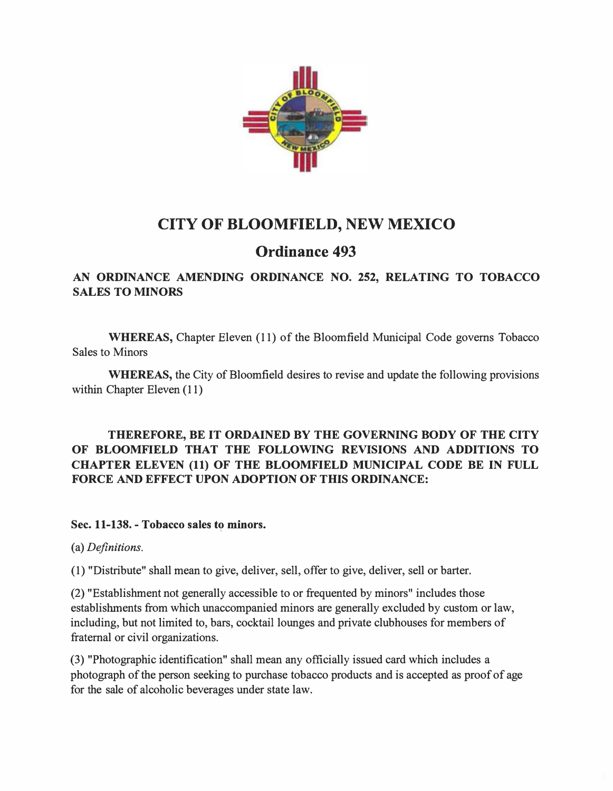

# CITY OF BLOOMFIELD, NEW MEXICO

## Ordinance 493

## AN ORDINANCE AMENDING ORDINANCE NO. 252, RELATING TO TOBACCO SALES TO MINORS

WHEREAS, Chapter Eleven (11) of the Bloomfield Municipal Code governs Tobacco Sales to Minors

WHEREAS, the City of Bloomfield desires to revise and update the following provisions within Chapter Eleven (11)

### THEREFORE, BE IT ORDAINED BY THE GOVERNING BODY OF THE CITY OF BLOOMFIELD THAT THE FOLLOWING REVISIONS AND ADDITIONS TO CHAPTER ELEVEN (11) OF THE BLOOMFIELD MUNICIPAL CODE BE IN FULL FORCE AND EFFECT UPON ADOPTION OF THIS ORDINANCE:

Sec. 11-138. - Tobacco sales to minors.

(a) Definitions.

(1) "Distribute" shall mean to give, deliver, sell, offer to give, deliver, sell or barter.

(2) "Establishment not generally accessible to or frequented by minors" includes those establishments from which unaccompanied minors are generally excluded by custom or law, including, but not limited to, bars, cocktail lounges and private clubhouses for members of fraternal or civil organizations.

(3) "Photographic identification" shall mean any officially issued card which includes a photograph of the person seeking to purchase tobacco products and is accepted as proof of age for the sale of alcoholic beverages under state law.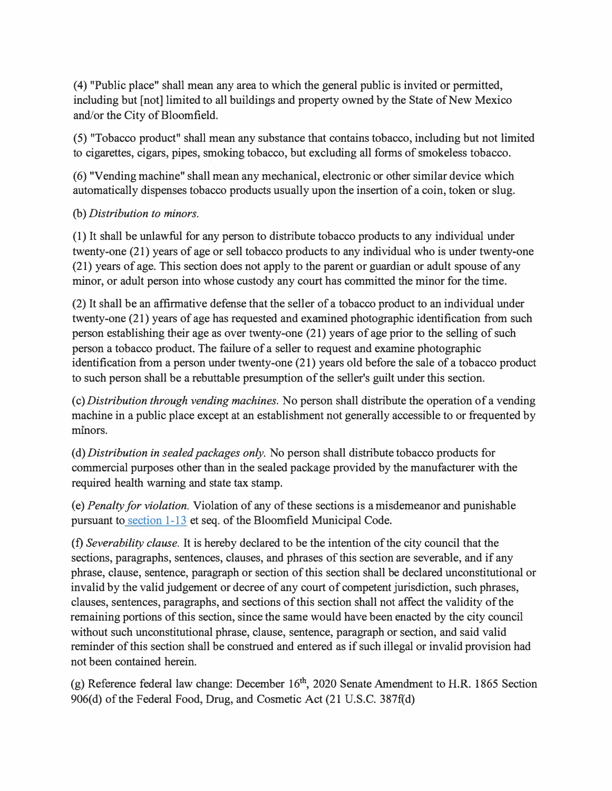(4) "Public place" shall mean any area to which the general public is invited or permitted, including but [not] limited to all buildings and property owned by the State of New Mexico and/or the City of Bloomfield.

(5) "Tobacco product" shall mean any substance that contains tobacco, including but not limited to cigarettes, cigars, pipes, smoking tobacco, but excluding all forms of smokeless tobacco.

(6) "Vending machine" shall mean any mechanical, electronic or other similar device which automatically dispenses tobacco products usually upon the insertion of a coin, token or slug.

### (b) Distribution to minors.

(1) It shall be unlawful for any person to distribute tobacco products to any individual under twenty-one (21) years of age or sell tobacco products to any individual who is under twenty-one (21) years of age. This section does not apply to the parent or guardian or adult spouse of any minor, or adult person into whose custody any court has committed the minor for the time.

(2) It shall be an affirmative defense that the seller of a tobacco product to an individual under twenty-one (21) years of age has requested and examined photographic identification from such person establishing their age as over twenty-one (21) years of age prior to the selling of such person a tobacco product. The failure of a seller to request and examine photographic identification from a person under twenty-one (21) years old before the sale of a tobacco product to such person shall be a rebuttable presumption of the seller's guilt under this section.

( c) Distribution through vending machines. No person shall distribute the operation of a vending machine in a public place except at an establishment not generally accessible to or frequented by minors.

(d) Distribution in sealed packages only. No person shall distribute tobacco products for commercial purposes other than in the sealed package provided by the manufacturer with the required health warning and state tax stamp.

( e) Penalty for violation. Violation of any of these sections is a misdemeanor and punishable pursuant to section 1-13 et seq. of the Bloomfield Municipal Code.

(f) Severability clause. It is hereby declared to be the intention of the city council that the sections, paragraphs, sentences, clauses, and phrases of this section are severable, and if any phrase, clause, sentence, paragraph or section of this section shall be declared unconstitutional or invalid by the valid judgement or decree of any court of competent jurisdiction, such phrases, clauses, sentences, paragraphs, and sections of this section shall not affect the validity of the remaining portions of this section, since the same would have been enacted by the city council without such unconstitutional phrase, clause, sentence, paragraph or section, and said valid reminder of this section shall be construed and entered as if such illegal or invalid provision had not been contained herein.

(g) Reference federal law change: December  $16<sup>th</sup>$ , 2020 Senate Amendment to H.R. 1865 Section 906(d) of the Federal Food, Drug, and Cosmetic Act (21 U.S.C. 387f(d)